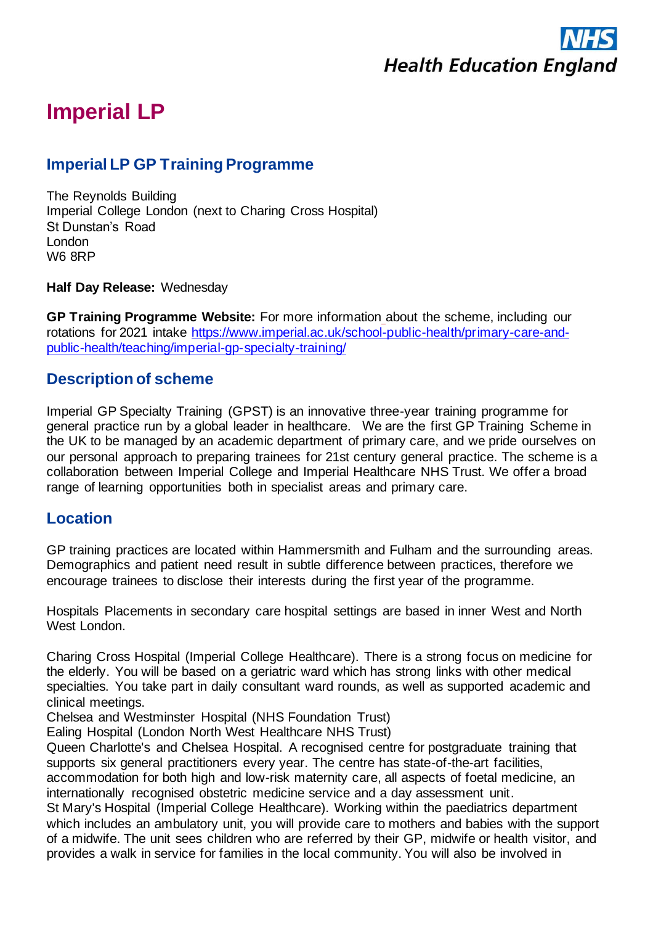

# **Imperial LP**

# **Imperial LP GP Training Programme**

The Reynolds Building Imperial College London (next to Charing Cross Hospital) St Dunstan's Road London W6 8RP

**Half Day Release:** Wednesday

**GP Training Programme Website:** For more information about the scheme, including our rotations for 2021 intake [https://www.imperial.ac.uk/school-public-health/primary-care-and](https://www.imperial.ac.uk/school-public-health/primary-care-and-public-health/teaching/imperial-gp-specialty-training/)[public-health/teaching/imperial-gp-specialty-training/](https://www.imperial.ac.uk/school-public-health/primary-care-and-public-health/teaching/imperial-gp-specialty-training/)

### **Description of scheme**

Imperial GP Specialty Training (GPST) is an innovative three-year training programme for general practice run by a global leader in healthcare.   We are the first GP Training Scheme in the UK to be managed by an academic department of primary care, and we pride ourselves on our personal approach to preparing trainees for 21st century general practice. The scheme is a collaboration between Imperial College and Imperial Healthcare NHS Trust. We offer a broad range of learning opportunities both in specialist areas and primary care.

### **Location**

GP training practices are located within Hammersmith and Fulham and the surrounding areas. Demographics and patient need result in subtle difference between practices, therefore we encourage trainees to disclose their interests during the first year of the programme.

Hospitals Placements in secondary care hospital settings are based in inner West and North West London.

Charing Cross Hospital (Imperial College Healthcare). There is a strong focus on medicine for the elderly. You will be based on a geriatric ward which has strong links with other medical specialties. You take part in daily consultant ward rounds, as well as supported academic and clinical meetings.

Chelsea and Westminster Hospital (NHS Foundation Trust)

Ealing Hospital (London North West Healthcare NHS Trust)

Queen Charlotte's and Chelsea Hospital. A recognised centre for postgraduate training that supports six general practitioners every year. The centre has state-of-the-art facilities, accommodation for both high and low-risk maternity care, all aspects of foetal medicine, an internationally recognised obstetric medicine service and a day assessment unit.

St Mary's Hospital (Imperial College Healthcare). Working within the paediatrics department which includes an ambulatory unit, you will provide care to mothers and babies with the support of a midwife. The unit sees children who are referred by their GP, midwife or health visitor, and provides a walk in service for families in the local community. You will also be involved in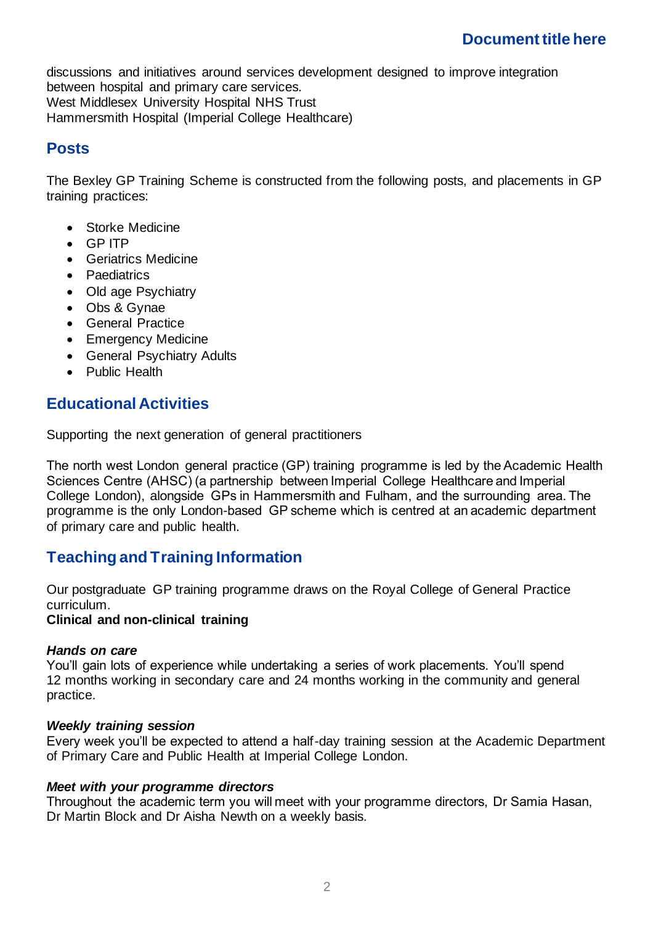# **Document title here**

discussions and initiatives around services development designed to improve integration between hospital and primary care services. West Middlesex University Hospital NHS Trust Hammersmith Hospital (Imperial College Healthcare)

## **Posts**

The Bexley GP Training Scheme is constructed from the following posts, and placements in GP training practices:

- Storke Medicine
- GP ITP
- Geriatrics Medicine
- Paediatrics
- Old age Psychiatry
- Obs & Gynae
- General Practice
- Emergency Medicine
- General Psychiatry Adults
- Public Health

# **Educational Activities**

Supporting the next generation of general practitioners

The north west London general practice (GP) training programme is led by the Academic Health Sciences Centre (AHSC) (a partnership between Imperial College Healthcare and Imperial College London), alongside GPs in Hammersmith and Fulham, and the surrounding area. The programme is the only London-based GP scheme which is centred at an academic department of primary care and public health.

# **Teaching and Training Information**

Our postgraduate GP training programme draws on the Royal College of General Practice curriculum.

#### **Clinical and non-clinical training**

#### *Hands on care*

You'll gain lots of experience while undertaking a series of work placements. You'll spend 12 months working in secondary care and 24 months working in the community and general practice.

#### *Weekly training session*

Every week you'll be expected to attend a half-day training session at the Academic Department of Primary Care and Public Health at Imperial College London.

#### *Meet with your programme directors*

Throughout the academic term you will meet with your programme directors, Dr Samia Hasan, Dr Martin Block and Dr Aisha Newth on a weekly basis.